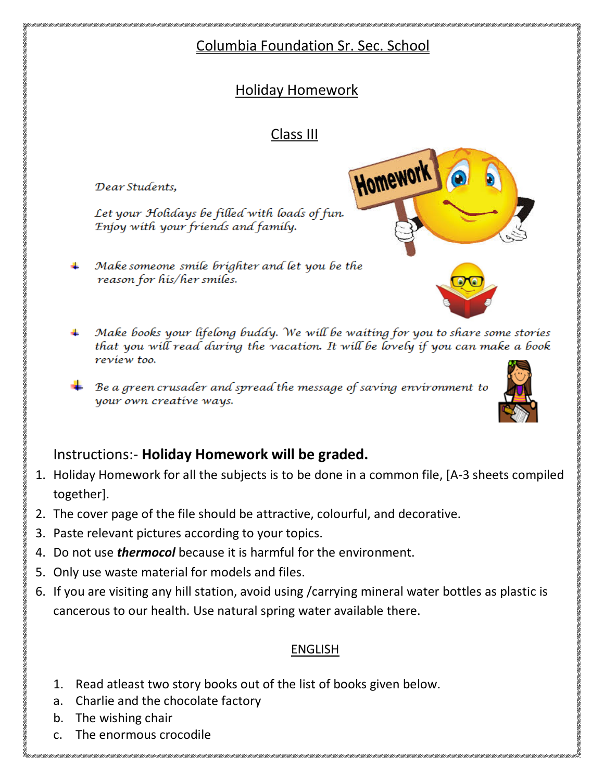# Columbia Foundation Sr. Sec. School

Homework

# Holiday Homework

# Class III

Dear Students.

Let your Holidays be filled with loads of fun. Enjoy with your friends and family.

- Make someone smile brighter and let you be the reason for his/her smiles.
- Make books your lifelong buddy. We will be waiting for you to share some stories that you will read during the vacation. It will be lovely if you can make a book review too.
- Be a green crusader and spread the message of saving environment to your own creative ways.



- 1. Holiday Homework for all the subjects is to be done in a common file, [A-3 sheets compiled together].
- 2. The cover page of the file should be attractive, colourful, and decorative.
- 3. Paste relevant pictures according to your topics.
- 4. Do not use *thermocol* because it is harmful for the environment.
- 5. Only use waste material for models and files.
- 6. If you are visiting any hill station, avoid using /carrying mineral water bottles as plastic is cancerous to our health. Use natural spring water available there.

### ENGLISH

- 1. Read atleast two story books out of the list of books given below.
- a. Charlie and the chocolate factory
- b. The wishing chair
- c. The enormous crocodile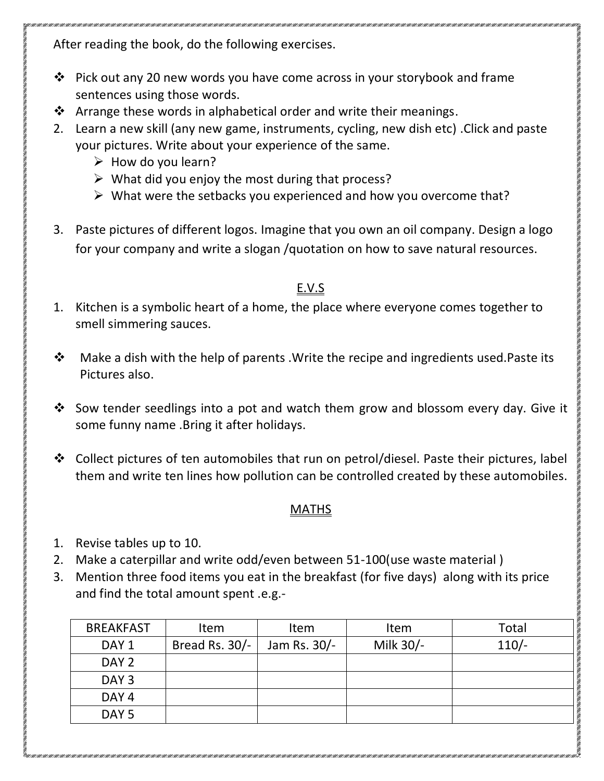After reading the book, do the following exercises.

- Pick out any 20 new words you have come across in your storybook and frame sentences using those words.
- $\cdot$  Arrange these words in alphabetical order and write their meanings.
- 2. Learn a new skill (any new game, instruments, cycling, new dish etc) .Click and paste your pictures. Write about your experience of the same.
	- $\triangleright$  How do you learn?
	- $\triangleright$  What did you enjoy the most during that process?
	- $\triangleright$  What were the setbacks you experienced and how you overcome that?
- 3. Paste pictures of different logos. Imagine that you own an oil company. Design a logo for your company and write a slogan /quotation on how to save natural resources.

### E.V.S

- 1. Kitchen is a symbolic heart of a home, the place where everyone comes together to smell simmering sauces.
- $\mathbf{\hat{P}}$  Make a dish with the help of parents . Write the recipe and ingredients used. Paste its Pictures also.
- Sow tender seedlings into a pot and watch them grow and blossom every day. Give it some funny name .Bring it after holidays.
- $\cdot$  Collect pictures of ten automobiles that run on petrol/diesel. Paste their pictures, label them and write ten lines how pollution can be controlled created by these automobiles.

### MATHS

- 1. Revise tables up to 10.
- 2. Make a caterpillar and write odd/even between 51-100(use waste material )
- 3. Mention three food items you eat in the breakfast (for five days) along with its price and find the total amount spent .e.g.-

| <b>BREAKFAST</b> | Item           | Item         | Item      | Total   |
|------------------|----------------|--------------|-----------|---------|
| DAY <sub>1</sub> | Bread Rs. 30/- | Jam Rs. 30/- | Milk 30/- | $110/-$ |
| DAY 2            |                |              |           |         |
| DAY <sub>3</sub> |                |              |           |         |
| DAY <sub>4</sub> |                |              |           |         |
| DAY <sub>5</sub> |                |              |           |         |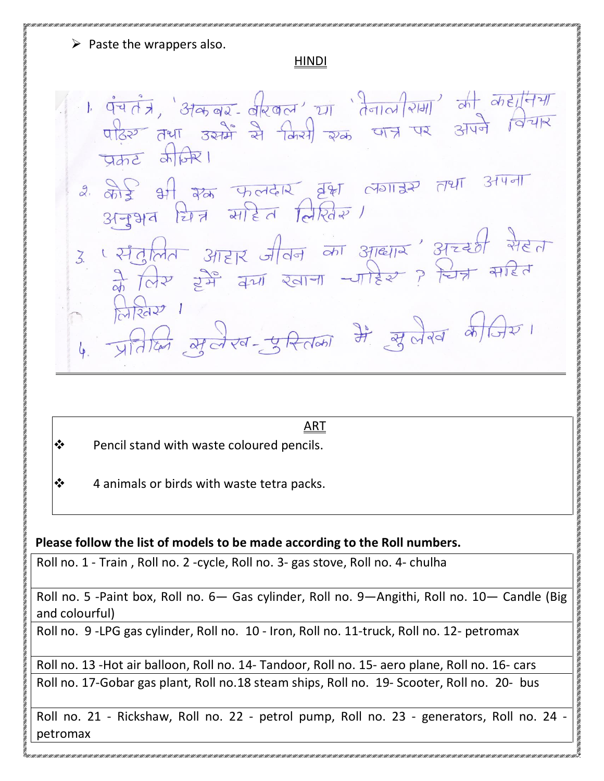$\triangleright$  Paste the wrappers also.

#### HINDI

ा पंचतंत्र, 'अकबर- वीरवल' या 'तेनाल राम' की कहानिया<br>पढिर तथा उसमें से किसी रुक्त पात्र पर अपने विचार  $7772$   $\frac{1}{2}$  $x$   $\frac{1}{x}$   $\frac{1}{x}$   $\frac{1}{x}$   $\frac{1}{x}$   $\frac{1}{x}$   $\frac{1}{x}$   $\frac{1}{x}$   $\frac{1}{x}$   $\frac{1}{x}$   $\frac{1}{x}$   $\frac{1}{x}$   $\frac{1}{x}$   $\frac{1}{x}$   $\frac{1}{x}$   $\frac{1}{x}$   $\frac{1}{x}$   $\frac{1}{x}$   $\frac{1}{x}$   $\frac{1}{x}$   $\frac{1}{x}$   $\frac{1}{x}$   $\frac{1}{x$ र संतुलित आहार जीवन का आद्याय' अच्छी सेहता<br>के लिए हमें क्या खाना -पाहिर ? चित्र सहित लिखिर 1  $\frac{1}{4}$   $\frac{1}{21}$   $\frac{1}{100}$   $\frac{1}{100}$   $\frac{1}{100}$   $\frac{1}{100}$   $\frac{1}{100}$   $\frac{1}{100}$   $\frac{1}{100}$   $\frac{1}{100}$   $\frac{1}{100}$   $\frac{1}{100}$   $\frac{1}{100}$   $\frac{1}{100}$   $\frac{1}{100}$   $\frac{1}{100}$   $\frac{1}{100}$   $\frac{1}{100}$   $\frac{1}{10$ 

#### ART

- $\mathbf{\hat{P}}$  Pencil stand with waste coloured pencils.
- $\mathbf{\hat{P}}$  4 animals or birds with waste tetra packs.

#### **Please follow the list of models to be made according to the Roll numbers.**

Roll no. 1 - Train , Roll no. 2 -cycle, Roll no. 3- gas stove, Roll no. 4- chulha

Roll no. 5 -Paint box, Roll no. 6— Gas cylinder, Roll no. 9—Angithi, Roll no. 10— Candle (Big and colourful)

Roll no. 9 -LPG gas cylinder, Roll no. 10 - Iron, Roll no. 11-truck, Roll no. 12- petromax

Roll no. 13 -Hot air balloon, Roll no. 14- Tandoor, Roll no. 15- aero plane, Roll no. 16- cars Roll no. 17-Gobar gas plant, Roll no.18 steam ships, Roll no. 19- Scooter, Roll no. 20- bus

Roll no. 21 - Rickshaw, Roll no. 22 - petrol pump, Roll no. 23 - generators, Roll no. 24 petromax